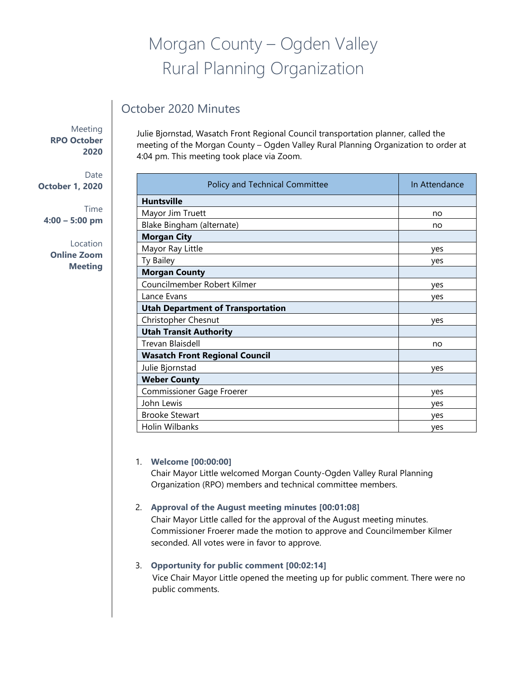# Morgan County – Ogden Valley Rural Planning Organization

# October 2020 Minutes

Meeting **RPO October 2020**

Date **October 1, 2020**

Time **4:00 – 5:00 pm**

> Location **Online Zoom Meeting**

Julie Bjornstad, Wasatch Front Regional Council transportation planner, called the meeting of the Morgan County – Ogden Valley Rural Planning Organization to order at 4:04 pm. This meeting took place via Zoom.

| Policy and Technical Committee           | In Attendance |
|------------------------------------------|---------------|
| <b>Huntsville</b>                        |               |
| Mayor Jim Truett                         | no            |
| Blake Bingham (alternate)                | no            |
| <b>Morgan City</b>                       |               |
| Mayor Ray Little                         | yes           |
| Ty Bailey                                | yes           |
| <b>Morgan County</b>                     |               |
| Councilmember Robert Kilmer              | yes           |
| Lance Evans                              | ves           |
| <b>Utah Department of Transportation</b> |               |
| Christopher Chesnut                      | yes           |
| <b>Utah Transit Authority</b>            |               |
| Trevan Blaisdell                         | no            |
| <b>Wasatch Front Regional Council</b>    |               |
| Julie Bjornstad                          | ves           |
| <b>Weber County</b>                      |               |
| Commissioner Gage Froerer                | ves           |
| John Lewis                               | yes           |
| <b>Brooke Stewart</b>                    | yes           |
| Holin Wilbanks                           | ves           |

#### 1. **Welcome [00:00:00]**

Chair Mayor Little welcomed Morgan County-Ogden Valley Rural Planning Organization (RPO) members and technical committee members.

#### 2. **Approval of the August meeting minutes [00:01:08]**

Chair Mayor Little called for the approval of the August meeting minutes. Commissioner Froerer made the motion to approve and Councilmember Kilmer seconded. All votes were in favor to approve.

## 3. **Opportunity for public comment [00:02:14]**

Vice Chair Mayor Little opened the meeting up for public comment. There were no public comments.